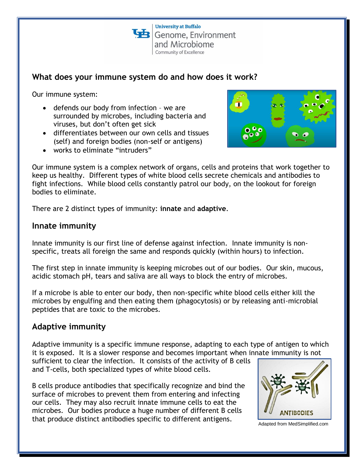**University at Buffalo**  $\mathbf{B}$  Genome, Environment and Microbiome Community of Excellence

# **What does your immune system do and how does it work?**

Our immune system:

- defends our body from infection we are surrounded by microbes, including bacteria and viruses, but don't often get sick
- differentiates between our own cells and tissues (self) and foreign bodies (non-self or antigens)
- works to eliminate "intruders"



Our immune system is a complex network of organs, cells and proteins that work together to keep us healthy. Different types of white blood cells secrete chemicals and antibodies to fight infections. While blood cells constantly patrol our body, on the lookout for foreign bodies to eliminate.

There are 2 distinct types of immunity: **innate** and **adaptive**.

### **Innate immunity**

Innate immunity is our first line of defense against infection. Innate immunity is nonspecific, treats all foreign the same and responds quickly (within hours) to infection.

The first step in innate immunity is keeping microbes out of our bodies. Our skin, mucous, acidic stomach pH, tears and saliva are all ways to block the entry of microbes.

If a microbe is able to enter our body, then non-specific white blood cells either kill the microbes by engulfing and then eating them (phagocytosis) or by releasing anti-microbial peptides that are toxic to the microbes.

# **Adaptive immunity**

Adaptive immunity is a specific immune response, adapting to each type of antigen to which it is exposed. It is a slower response and becomes important when innate immunity is not

sufficient to clear the infection. It consists of the activity of B cells and T-cells, both specialized types of white blood cells.

B cells produce antibodies that specifically recognize and bind the surface of microbes to prevent them from entering and infecting our cells. They may also recruit innate immune cells to eat the microbes. Our bodies produce a huge number of different B cells that produce distinct antibodies specific to different antigens.



Adapted from MedSimplified.com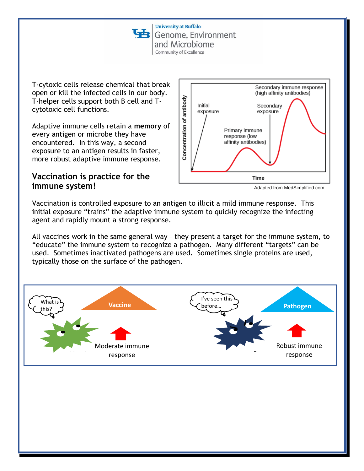**University at Buffalo** Genome, Environment and Microbiome Community of Excellence

T-cytoxic cells release chemical that break open or kill the infected cells in our body. T-helper cells support both B cell and Tcytotoxic cell functions.

Adaptive immune cells retain a **memory** of every antigen or microbe they have encountered. In this way, a second exposure to an antigen results in faster, more robust adaptive immune response.

## **Vaccination is practice for the immune system!**



Adapted from MedSimplified.com

Vaccination is controlled exposure to an antigen to illicit a mild immune response. This initial exposure "trains" the adaptive immune system to quickly recognize the infecting agent and rapidly mount a strong response.

All vaccines work in the same general way – they present a target for the immune system, to "educate" the immune system to recognize a pathogen. Many different "targets" can be used. Sometimes inactivated pathogens are used. Sometimes single proteins are used, typically those on the surface of the pathogen.

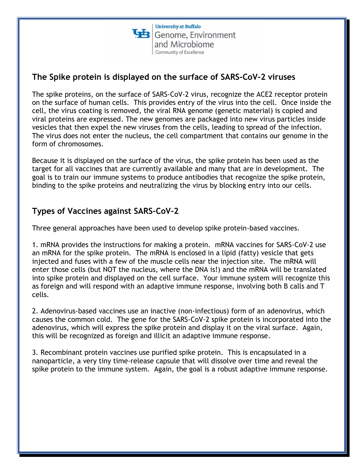## **The Spike protein is displayed on the surface of SARS-CoV-2 viruses**

The spike proteins, on the surface of SARS-CoV-2 virus, recognize the ACE2 receptor protein on the surface of human cells. This provides entry of the virus into the cell. Once inside the cell, the virus coating is removed, the viral RNA genome (genetic material) is copied and viral proteins are expressed. The new genomes are packaged into new virus particles inside vesicles that then expel the new viruses from the cells, leading to spread of the infection. The virus does not enter the nucleus, the cell compartment that contains our genome in the form of chromosomes.

Because it is displayed on the surface of the virus, the spike protein has been used as the target for all vaccines that are currently available and many that are in development. The goal is to train our immune systems to produce antibodies that recognize the spike protein, binding to the spike proteins and neutralizing the virus by blocking entry into our cells.

# **Types of Vaccines against SARS-CoV-2**

Three general approaches have been used to develop spike protein-based vaccines.

1. mRNA provides the instructions for making a protein. mRNA vaccines for SARS-CoV-2 use an mRNA for the spike protein. The mRNA is enclosed in a lipid (fatty) vesicle that gets injected and fuses with a few of the muscle cells near the injection site. The mRNA will enter those cells (but NOT the nucleus, where the DNA is!) and the mRNA will be translated into spike protein and displayed on the cell surface. Your immune system will recognize this as foreign and will respond with an adaptive immune response, involving both B calls and T cells.

2. Adenovirus-based vaccines use an inactive (non-infectious) form of an adenovirus, which causes the common cold. The gene for the SARS-CoV-2 spike protein is incorporated into the adenovirus, which will express the spike protein and display it on the viral surface. Again, this will be recognized as foreign and illicit an adaptive immune response.

3. Recombinant protein vaccines use purified spike protein. This is encapsulated in a nanoparticle, a very tiny time-release capsule that will dissolve over time and reveal the spike protein to the immune system. Again, the goal is a robust adaptive immune response.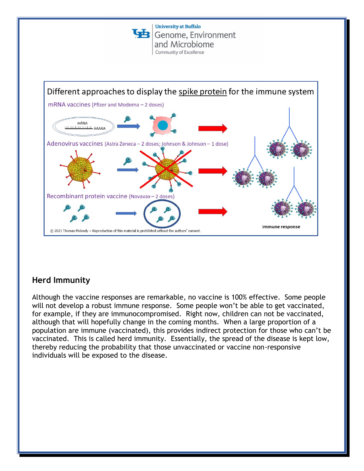

# **Herd Immunity**

Although the vaccine responses are remarkable, no vaccine is 100% effective. Some people will not develop a robust immune response. Some people won't be able to get vaccinated, for example, if they are immunocompromised. Right now, children can not be vaccinated, although that will hopefully change in the coming months. When a large proportion of a population are immune (vaccinated), this provides indirect protection for those who can't be vaccinated. This is called herd immunity. Essentially, the spread of the disease is kept low, thereby reducing the probability that those unvaccinated or vaccine non-responsive individuals will be exposed to the disease.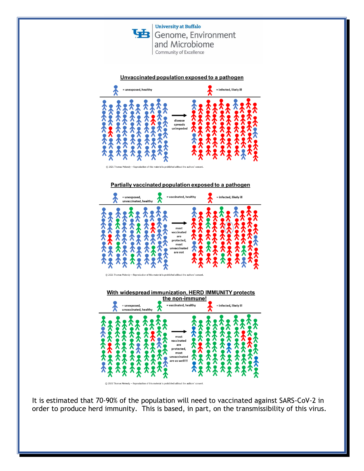



Unvaccinated population exposed to a pathogen

Partially vaccinated population exposed to a pathogen



With widespread immunization, HERD IMMUNITY protects



It is estimated that 70-90% of the population will need to vaccinated against SARS-CoV-2 in order to produce herd immunity. This is based, in part, on the transmissibility of this virus.